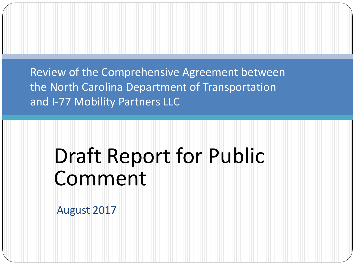Review of the Comprehensive Agreement between the North Carolina Department of Transportation and I-77 Mobility Partners LLC

# Draft Report for Public Comment

August 2017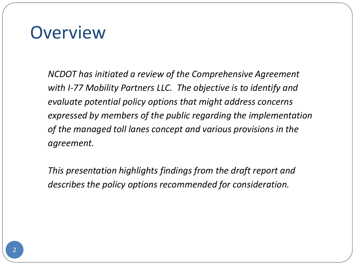### **Overview**

*NCDOT has initiated a review of the Comprehensive Agreement with I-77 Mobility Partners LLC. The objective is to identify and evaluate potential policy options that might address concerns expressed by members of the public regarding the implementation of the managed toll lanes concept and various provisions in the agreement.* 

*This presentation highlights findings from the draft report and describes the policy options recommended for consideration.*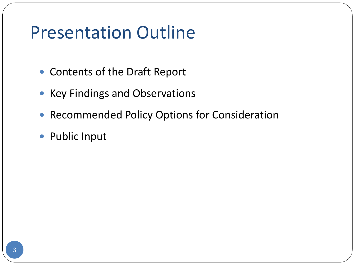# Presentation Outline

- Contents of the Draft Report
- Key Findings and Observations
- **Recommended Policy Options for Consideration**
- Public Input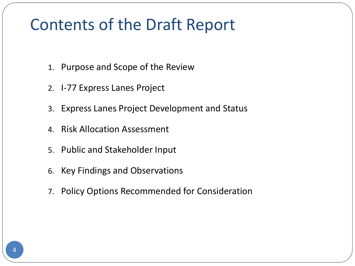### Contents of the Draft Report

- 1. Purpose and Scope of the Review
- 2. I-77 Express Lanes Project
- 3. Express Lanes Project Development and Status
- 4. Risk Allocation Assessment
- 5. Public and Stakeholder Input
- 6. Key Findings and Observations
- 7. Policy Options Recommended for Consideration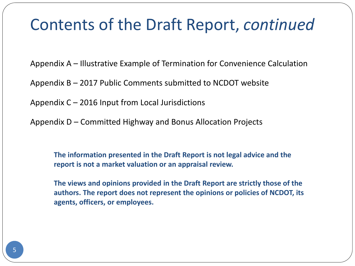### Contents of the Draft Report, *continued*

Appendix A – Illustrative Example of Termination for Convenience Calculation

Appendix B – 2017 Public Comments submitted to NCDOT website

Appendix C – 2016 Input from Local Jurisdictions

Appendix D – Committed Highway and Bonus Allocation Projects

**The information presented in the Draft Report is not legal advice and the report is not a market valuation or an appraisal review.** 

**The views and opinions provided in the Draft Report are strictly those of the authors. The report does not represent the opinions or policies of NCDOT, its agents, officers, or employees.**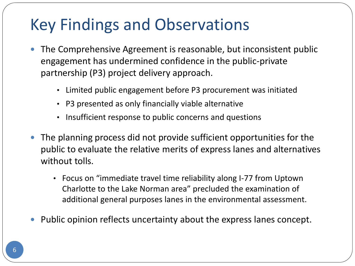### Key Findings and Observations

- The Comprehensive Agreement is reasonable, but inconsistent public engagement has undermined confidence in the public-private partnership (P3) project delivery approach.
	- Limited public engagement before P3 procurement was initiated
	- P3 presented as only financially viable alternative
	- Insufficient response to public concerns and questions
- The planning process did not provide sufficient opportunities for the public to evaluate the relative merits of express lanes and alternatives without tolls.
	- Focus on "immediate travel time reliability along I-77 from Uptown Charlotte to the Lake Norman area" precluded the examination of additional general purposes lanes in the environmental assessment.
- Public opinion reflects uncertainty about the express lanes concept.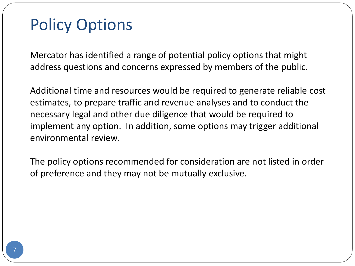### Policy Options

Mercator has identified a range of potential policy options that might address questions and concerns expressed by members of the public.

Additional time and resources would be required to generate reliable cost estimates, to prepare traffic and revenue analyses and to conduct the necessary legal and other due diligence that would be required to implement any option. In addition, some options may trigger additional environmental review.

The policy options recommended for consideration are not listed in order of preference and they may not be mutually exclusive.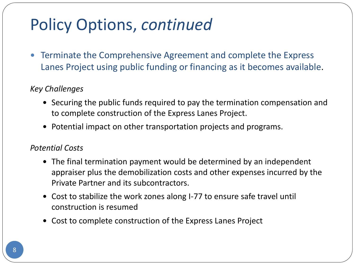Terminate the Comprehensive Agreement and complete the Express Lanes Project using public funding or financing as it becomes available.

#### *Key Challenges*

- Securing the public funds required to pay the termination compensation and to complete construction of the Express Lanes Project.
- Potential impact on other transportation projects and programs.

#### *Potential Costs*

- The final termination payment would be determined by an independent appraiser plus the demobilization costs and other expenses incurred by the Private Partner and its subcontractors.
- Cost to stabilize the work zones along I-77 to ensure safe travel until construction is resumed
- Cost to complete construction of the Express Lanes Project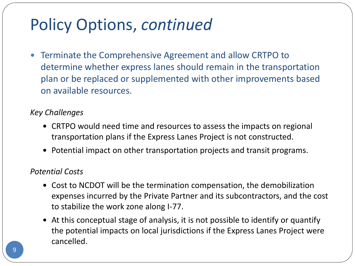Terminate the Comprehensive Agreement and allow CRTPO to determine whether express lanes should remain in the transportation plan or be replaced or supplemented with other improvements based on available resources.

#### *Key Challenges*

- CRTPO would need time and resources to assess the impacts on regional transportation plans if the Express Lanes Project is not constructed.
- Potential impact on other transportation projects and transit programs.

#### *Potential Costs*

- Cost to NCDOT will be the termination compensation, the demobilization expenses incurred by the Private Partner and its subcontractors, and the cost to stabilize the work zone along I-77.
- At this conceptual stage of analysis, it is not possible to identify or quantify the potential impacts on local jurisdictions if the Express Lanes Project were cancelled.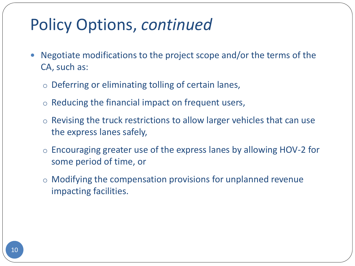- Negotiate modifications to the project scope and/or the terms of the CA, such as:
	- o Deferring or eliminating tolling of certain lanes,
	- o Reducing the financial impact on frequent users,
	- $\circ$  Revising the truck restrictions to allow larger vehicles that can use the express lanes safely,
	- o Encouraging greater use of the express lanes by allowing HOV-2 for some period of time, or
	- o Modifying the compensation provisions for unplanned revenue impacting facilities.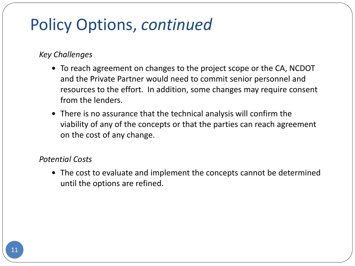#### *Key Challenges*

- To reach agreement on changes to the project scope or the CA, NCDOT and the Private Partner would need to commit senior personnel and resources to the effort. In addition, some changes may require consent from the lenders.
- There is no assurance that the technical analysis will confirm the viability of any of the concepts or that the parties can reach agreement on the cost of any change.

#### *Potential Costs*

 The cost to evaluate and implement the concepts cannot be determined until the options are refined.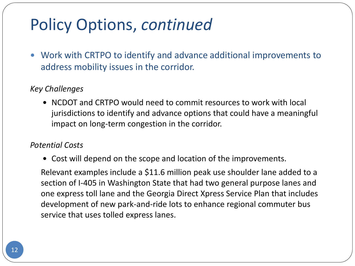Work with CRTPO to identify and advance additional improvements to address mobility issues in the corridor.

#### *Key Challenges*

 NCDOT and CRTPO would need to commit resources to work with local jurisdictions to identify and advance options that could have a meaningful impact on long-term congestion in the corridor.

#### *Potential Costs*

Cost will depend on the scope and location of the improvements.

Relevant examples include a \$11.6 million peak use shoulder lane added to a section of I-405 in Washington State that had two general purpose lanes and one express toll lane and the Georgia Direct Xpress Service Plan that includes development of new park-and-ride lots to enhance regional commuter bus service that uses tolled express lanes.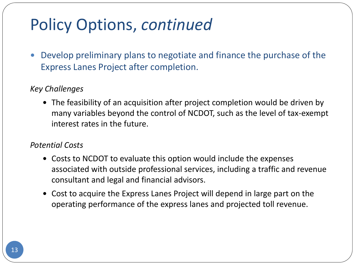Develop preliminary plans to negotiate and finance the purchase of the Express Lanes Project after completion.

#### *Key Challenges*

 The feasibility of an acquisition after project completion would be driven by many variables beyond the control of NCDOT, such as the level of tax-exempt interest rates in the future.

#### *Potential Costs*

- Costs to NCDOT to evaluate this option would include the expenses associated with outside professional services, including a traffic and revenue consultant and legal and financial advisors.
- Cost to acquire the Express Lanes Project will depend in large part on the operating performance of the express lanes and projected toll revenue.